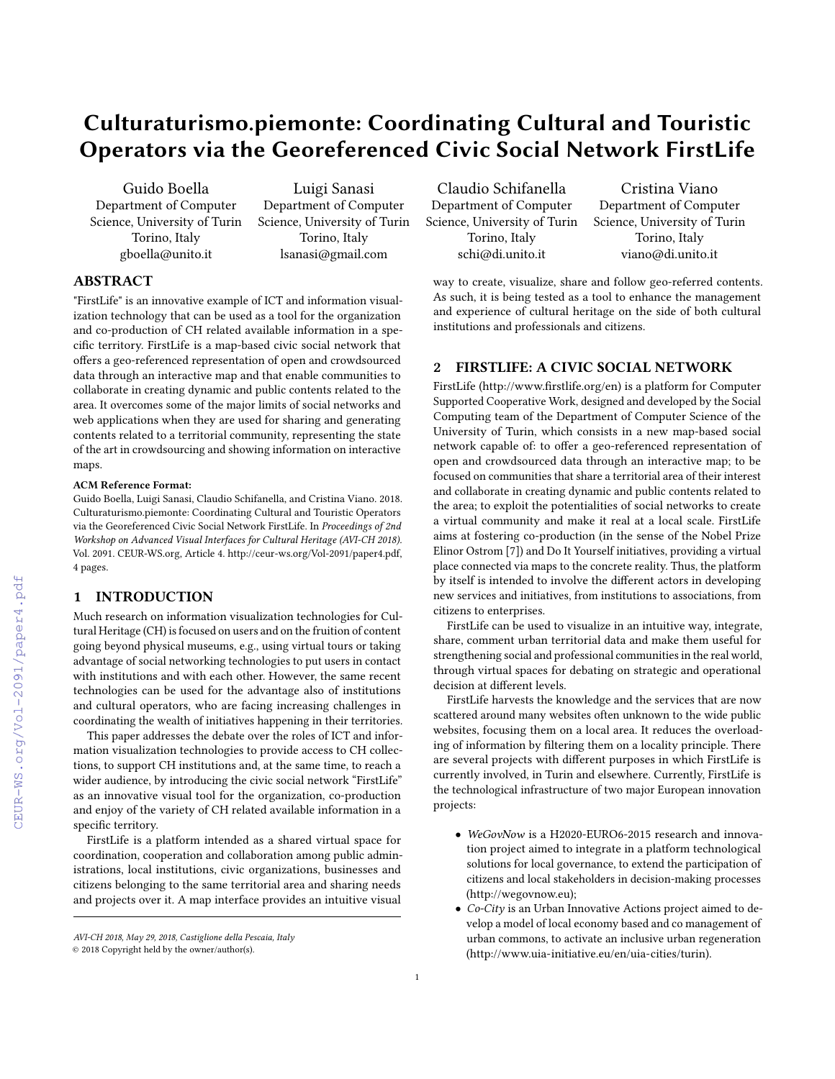# Culturaturismo.piemonte: Coordinating Cultural and Touristic Operators via the Georeferenced Civic Social Network FirstLife

Guido Boella Department of Computer Science, University of Turin Torino, Italy gboella@unito.it

Luigi Sanasi Department of Computer Science, University of Turin Torino, Italy lsanasi@gmail.com

# ABSTRACT

"FirstLife" is an innovative example of ICT and information visualization technology that can be used as a tool for the organization and co-production of CH related available information in a specific territory. FirstLife is a map-based civic social network that offers a geo-referenced representation of open and crowdsourced data through an interactive map and that enable communities to collaborate in creating dynamic and public contents related to the area. It overcomes some of the major limits of social networks and web applications when they are used for sharing and generating contents related to a territorial community, representing the state of the art in crowdsourcing and showing information on interactive maps.

#### ACM Reference Format:

Guido Boella, Luigi Sanasi, Claudio Schifanella, and Cristina Viano. 2018. Culturaturismo.piemonte: Coordinating Cultural and Touristic Operators via the Georeferenced Civic Social Network FirstLife. In Proceedings of 2nd Workshop on Advanced Visual Interfaces for Cultural Heritage (AVI-CH 2018). Vol. 2091. CEUR-WS.org, Article 4. http://ceur-ws.org/Vol-2091/paper4.pdf, [4](#page--1-0) pages.

#### 1 INTRODUCTION

Much research on information visualization technologies for Cultural Heritage (CH) is focused on users and on the fruition of content going beyond physical museums, e.g., using virtual tours or taking advantage of social networking technologies to put users in contact with institutions and with each other. However, the same recent technologies can be used for the advantage also of institutions and cultural operators, who are facing increasing challenges in coordinating the wealth of initiatives happening in their territories.

This paper addresses the debate over the roles of ICT and information visualization technologies to provide access to CH collections, to support CH institutions and, at the same time, to reach a wider audience, by introducing the civic social network "FirstLife" as an innovative visual tool for the organization, co-production and enjoy of the variety of CH related available information in a specific territory.

FirstLife is a platform intended as a shared virtual space for coordination, cooperation and collaboration among public administrations, local institutions, civic organizations, businesses and citizens belonging to the same territorial area and sharing needs and projects over it. A map interface provides an intuitive visual

Claudio Schifanella Department of Computer Science, University of Turin Torino, Italy schi@di.unito.it

Cristina Viano Department of Computer Science, University of Turin Torino, Italy viano@di.unito.it

way to create, visualize, share and follow geo-referred contents. As such, it is being tested as a tool to enhance the management and experience of cultural heritage on the side of both cultural institutions and professionals and citizens.

#### 2 FIRSTLIFE: A CIVIC SOCIAL NETWORK

FirstLife [\(http://www.firstlife.org/en\)](http://www.firstlife.org/en) is a platform for Computer Supported Cooperative Work, designed and developed by the Social Computing team of the Department of Computer Science of the University of Turin, which consists in a new map-based social network capable of: to offer a geo-referenced representation of open and crowdsourced data through an interactive map; to be focused on communities that share a territorial area of their interest and collaborate in creating dynamic and public contents related to the area; to exploit the potentialities of social networks to create a virtual community and make it real at a local scale. FirstLife aims at fostering co-production (in the sense of the Nobel Prize Elinor Ostrom [\[7\]](#page--1-1)) and Do It Yourself initiatives, providing a virtual place connected via maps to the concrete reality. Thus, the platform by itself is intended to involve the different actors in developing new services and initiatives, from institutions to associations, from citizens to enterprises.

FirstLife can be used to visualize in an intuitive way, integrate, share, comment urban territorial data and make them useful for strengthening social and professional communities in the real world, through virtual spaces for debating on strategic and operational decision at different levels.

FirstLife harvests the knowledge and the services that are now scattered around many websites often unknown to the wide public websites, focusing them on a local area. It reduces the overloading of information by filtering them on a locality principle. There are several projects with different purposes in which FirstLife is currently involved, in Turin and elsewhere. Currently, FirstLife is the technological infrastructure of two major European innovation projects:

- WeGovNow is a H2020-EURO6-2015 research and innovation project aimed to integrate in a platform technological solutions for local governance, to extend the participation of citizens and local stakeholders in decision-making processes [\(http://wegovnow.eu\)](http://wegovnow.eu);
- Co-City is an Urban Innovative Actions project aimed to develop a model of local economy based and co management of urban commons, to activate an inclusive urban regeneration [\(http://www.uia-initiative.eu/en/uia-cities/turin\)](http://www.uia-initiative.eu/en/uia-cities/turin).

AVI-CH 2018, May 29, 2018, Castiglione della Pescaia, Italy

<sup>©</sup> 2018 Copyright held by the owner/author(s).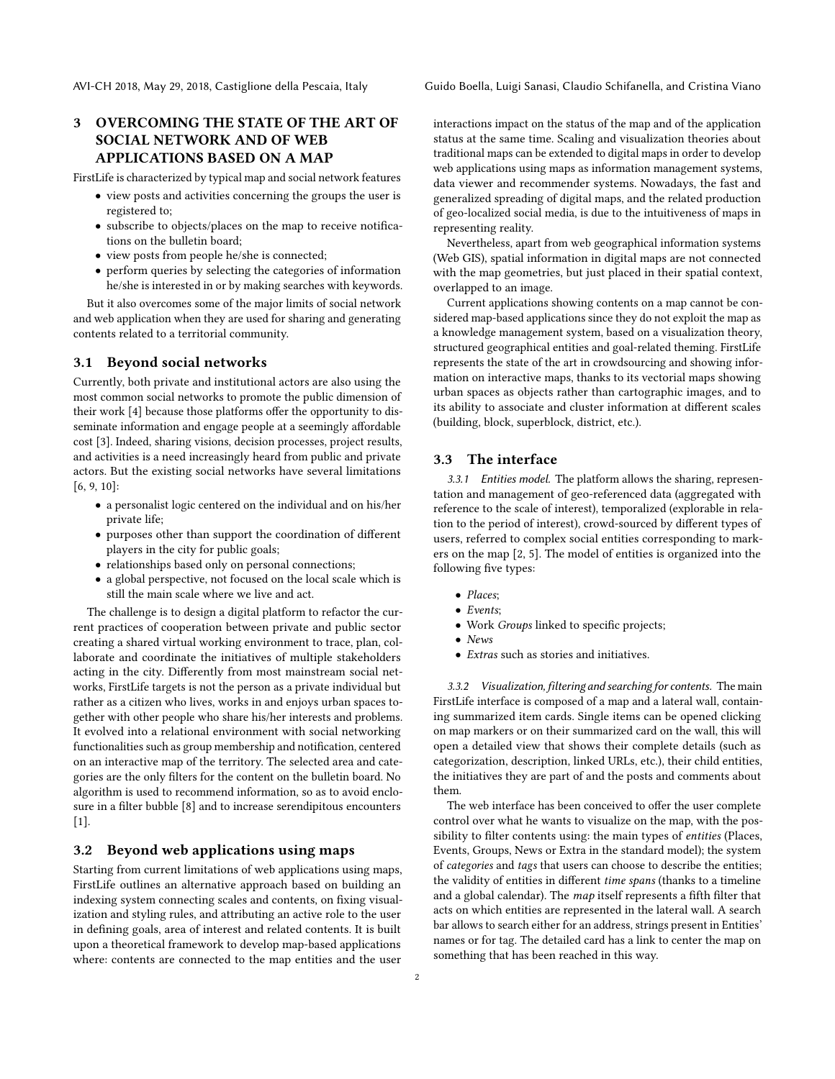AVI-CH 2018, May 29, 2018, Castiglione della Pescaia, Italy Guido Boella, Luigi Sanasi, Claudio Schifanella, and Cristina Viano

# 3 OVERCOMING THE STATE OF THE ART OF SOCIAL NETWORK AND OF WEB APPLICATIONS BASED ON A MAP

FirstLife is characterized by typical map and social network features

- view posts and activities concerning the groups the user is registered to;
- subscribe to objects/places on the map to receive notifications on the bulletin board;
- view posts from people he/she is connected;
- perform queries by selecting the categories of information he/she is interested in or by making searches with keywords.

But it also overcomes some of the major limits of social network and web application when they are used for sharing and generating contents related to a territorial community.

#### 3.1 Beyond social networks

Currently, both private and institutional actors are also using the most common social networks to promote the public dimension of their work [\[4\]](#page-3-0) because those platforms offer the opportunity to disseminate information and engage people at a seemingly affordable cost [\[3\]](#page-3-1). Indeed, sharing visions, decision processes, project results, and activities is a need increasingly heard from public and private actors. But the existing social networks have several limitations [\[6,](#page-3-2) [9,](#page-3-3) [10\]](#page-3-4):

- a personalist logic centered on the individual and on his/her private life;
- purposes other than support the coordination of different players in the city for public goals;
- relationships based only on personal connections;
- a global perspective, not focused on the local scale which is still the main scale where we live and act.

The challenge is to design a digital platform to refactor the current practices of cooperation between private and public sector creating a shared virtual working environment to trace, plan, collaborate and coordinate the initiatives of multiple stakeholders acting in the city. Differently from most mainstream social networks, FirstLife targets is not the person as a private individual but rather as a citizen who lives, works in and enjoys urban spaces together with other people who share his/her interests and problems. It evolved into a relational environment with social networking functionalities such as group membership and notification, centered on an interactive map of the territory. The selected area and categories are the only filters for the content on the bulletin board. No algorithm is used to recommend information, so as to avoid enclosure in a filter bubble [\[8\]](#page-3-5) and to increase serendipitous encounters [\[1\]](#page-3-6).

#### 3.2 Beyond web applications using maps

Starting from current limitations of web applications using maps, FirstLife outlines an alternative approach based on building an indexing system connecting scales and contents, on fixing visualization and styling rules, and attributing an active role to the user in defining goals, area of interest and related contents. It is built upon a theoretical framework to develop map-based applications where: contents are connected to the map entities and the user interactions impact on the status of the map and of the application status at the same time. Scaling and visualization theories about traditional maps can be extended to digital maps in order to develop web applications using maps as information management systems, data viewer and recommender systems. Nowadays, the fast and generalized spreading of digital maps, and the related production of geo-localized social media, is due to the intuitiveness of maps in representing reality.

Nevertheless, apart from web geographical information systems (Web GIS), spatial information in digital maps are not connected with the map geometries, but just placed in their spatial context, overlapped to an image.

Current applications showing contents on a map cannot be considered map-based applications since they do not exploit the map as a knowledge management system, based on a visualization theory, structured geographical entities and goal-related theming. FirstLife represents the state of the art in crowdsourcing and showing information on interactive maps, thanks to its vectorial maps showing urban spaces as objects rather than cartographic images, and to its ability to associate and cluster information at different scales (building, block, superblock, district, etc.).

#### 3.3 The interface

3.3.1 Entities model. The platform allows the sharing, representation and management of geo-referenced data (aggregated with reference to the scale of interest), temporalized (explorable in relation to the period of interest), crowd-sourced by different types of users, referred to complex social entities corresponding to markers on the map [\[2,](#page-3-7) [5\]](#page-3-8). The model of entities is organized into the following five types:

- Places:
- Events:
- Work *Groups* linked to specific projects;
- News
- Extras such as stories and initiatives.

3.3.2 Visualization, filtering and searching for contents. The main FirstLife interface is composed of a map and a lateral wall, containing summarized item cards. Single items can be opened clicking on map markers or on their summarized card on the wall, this will open a detailed view that shows their complete details (such as categorization, description, linked URLs, etc.), their child entities, the initiatives they are part of and the posts and comments about them.

The web interface has been conceived to offer the user complete control over what he wants to visualize on the map, with the possibility to filter contents using: the main types of entities (Places, Events, Groups, News or Extra in the standard model); the system of categories and tags that users can choose to describe the entities; the validity of entities in different time spans (thanks to a timeline and a global calendar). The map itself represents a fifth filter that acts on which entities are represented in the lateral wall. A search bar allows to search either for an address, strings present in Entities' names or for tag. The detailed card has a link to center the map on something that has been reached in this way.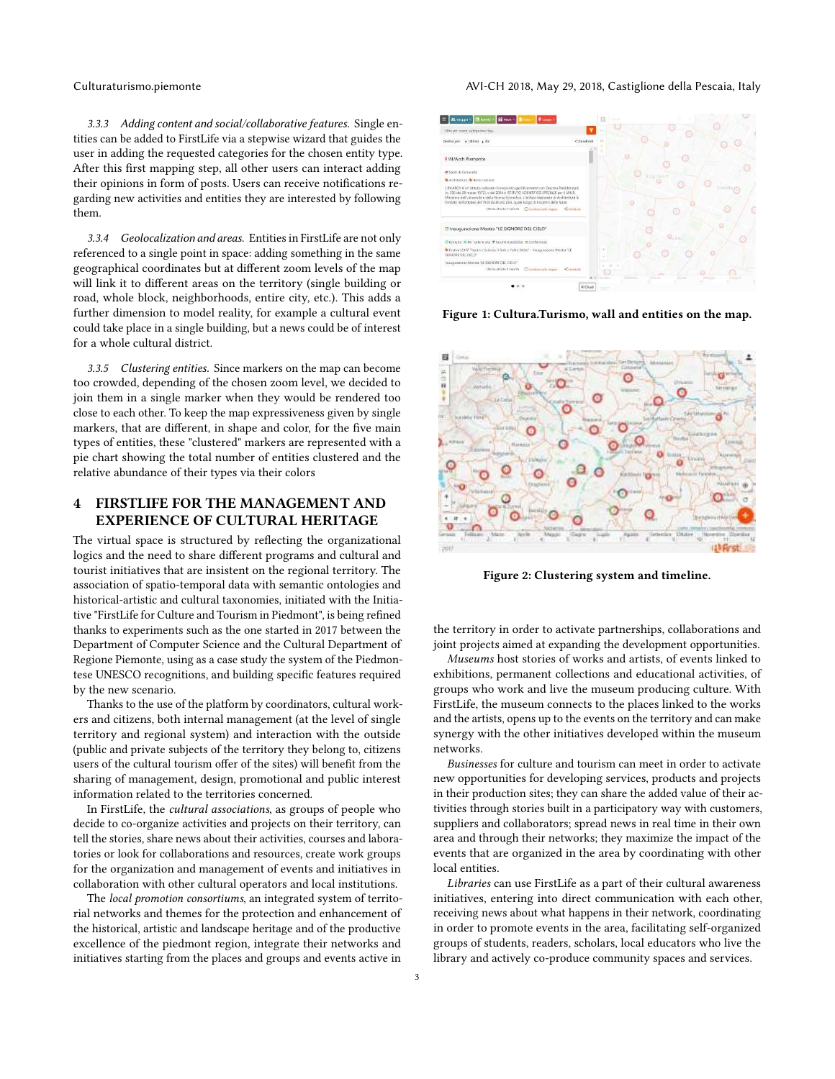3.3.3 Adding content and social/collaborative features. Single entities can be added to FirstLife via a stepwise wizard that guides the user in adding the requested categories for the chosen entity type. After this first mapping step, all other users can interact adding their opinions in form of posts. Users can receive notifications regarding new activities and entities they are interested by following them.

3.3.4 Geolocalization and areas. Entities in FirstLife are not only referenced to a single point in space: adding something in the same geographical coordinates but at different zoom levels of the map will link it to different areas on the territory (single building or road, whole block, neighborhoods, entire city, etc.). This adds a further dimension to model reality, for example a cultural event could take place in a single building, but a news could be of interest for a whole cultural district.

3.3.5 Clustering entities. Since markers on the map can become too crowded, depending of the chosen zoom level, we decided to join them in a single marker when they would be rendered too close to each other. To keep the map expressiveness given by single markers, that are different, in shape and color, for the five main types of entities, these "clustered" markers are represented with a pie chart showing the total number of entities clustered and the relative abundance of their types via their colors

## 4 FIRSTLIFE FOR THE MANAGEMENT AND EXPERIENCE OF CULTURAL HERITAGE

The virtual space is structured by reflecting the organizational logics and the need to share different programs and cultural and tourist initiatives that are insistent on the regional territory. The association of spatio-temporal data with semantic ontologies and historical-artistic and cultural taxonomies, initiated with the Initiative "FirstLife for Culture and Tourism in Piedmont", is being refined thanks to experiments such as the one started in 2017 between the Department of Computer Science and the Cultural Department of Regione Piemonte, using as a case study the system of the Piedmontese UNESCO recognitions, and building specific features required by the new scenario.

Thanks to the use of the platform by coordinators, cultural workers and citizens, both internal management (at the level of single territory and regional system) and interaction with the outside (public and private subjects of the territory they belong to, citizens users of the cultural tourism offer of the sites) will benefit from the sharing of management, design, promotional and public interest information related to the territories concerned.

In FirstLife, the cultural associations, as groups of people who decide to co-organize activities and projects on their territory, can tell the stories, share news about their activities, courses and laboratories or look for collaborations and resources, create work groups for the organization and management of events and initiatives in collaboration with other cultural operators and local institutions.

The local promotion consortiums, an integrated system of territorial networks and themes for the protection and enhancement of the historical, artistic and landscape heritage and of the productive excellence of the piedmont region, integrate their networks and initiatives starting from the places and groups and events active in

Culturaturismo.piemonte AVI-CH 2018, May 29, 2018, Castiglione della Pescaia, Italy



Figure 1: Cultura.Turismo, wall and entities on the map.



Figure 2: Clustering system and timeline.

the territory in order to activate partnerships, collaborations and joint projects aimed at expanding the development opportunities.

Museums host stories of works and artists, of events linked to exhibitions, permanent collections and educational activities, of groups who work and live the museum producing culture. With FirstLife, the museum connects to the places linked to the works and the artists, opens up to the events on the territory and can make synergy with the other initiatives developed within the museum networks.

Businesses for culture and tourism can meet in order to activate new opportunities for developing services, products and projects in their production sites; they can share the added value of their activities through stories built in a participatory way with customers, suppliers and collaborators; spread news in real time in their own area and through their networks; they maximize the impact of the events that are organized in the area by coordinating with other local entities.

Libraries can use FirstLife as a part of their cultural awareness initiatives, entering into direct communication with each other, receiving news about what happens in their network, coordinating in order to promote events in the area, facilitating self-organized groups of students, readers, scholars, local educators who live the library and actively co-produce community spaces and services.